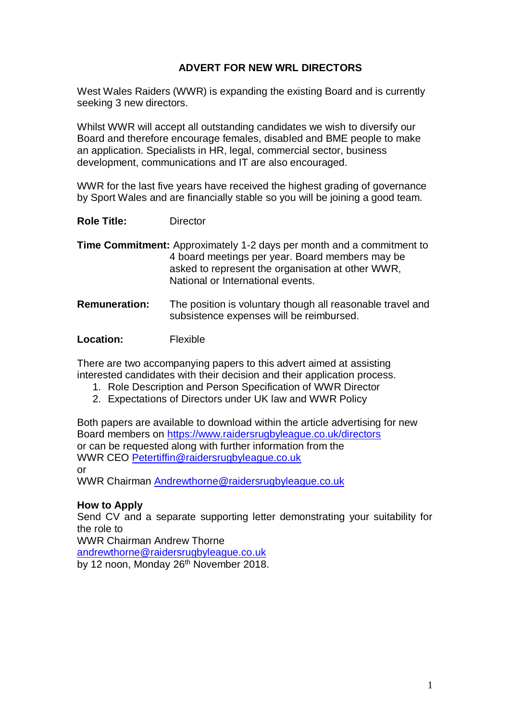## **ADVERT FOR NEW WRL DIRECTORS**

West Wales Raiders (WWR) is expanding the existing Board and is currently seeking 3 new directors.

Whilst WWR will accept all outstanding candidates we wish to diversify our Board and therefore encourage females, disabled and BME people to make an application. Specialists in HR, legal, commercial sector, business development, communications and IT are also encouraged.

WWR for the last five years have received the highest grading of governance by Sport Wales and are financially stable so you will be joining a good team.

**Role Title:** Director

**Time Commitment:** Approximately 1-2 days per month and a commitment to 4 board meetings per year. Board members may be asked to represent the organisation at other WWR, National or International events.

**Remuneration:** The position is voluntary though all reasonable travel and subsistence expenses will be reimbursed.

**Location:** Flexible

There are two accompanying papers to this advert aimed at assisting interested candidates with their decision and their application process.

- 1. Role Description and Person Specification of WWR Director
- 2. Expectations of Directors under UK law and WWR Policy

Both papers are available to download within the article advertising for new Board members on<https://www.raidersrugbyleague.co.uk/directors> or can be requested along with further information from the WWR CEO [Petertiffin@raidersrugbyleague.co.uk](mailto:Petertiffin@raidersrugbyleague.co.uk) or

WWR Chairman [Andrewthorne@raidersrugbyleague.co.uk](mailto:Andrewthorne@raidersrugbyleague.co.uk)

#### **How to Apply**

Send CV and a separate supporting letter demonstrating your suitability for the role to

WWR Chairman Andrew Thorne

[andrewthorne@raidersrugbyleague.co.uk](mailto:andrewthorne@raidersrugbyleague.co.uk)

by 12 noon, Monday 26<sup>th</sup> November 2018.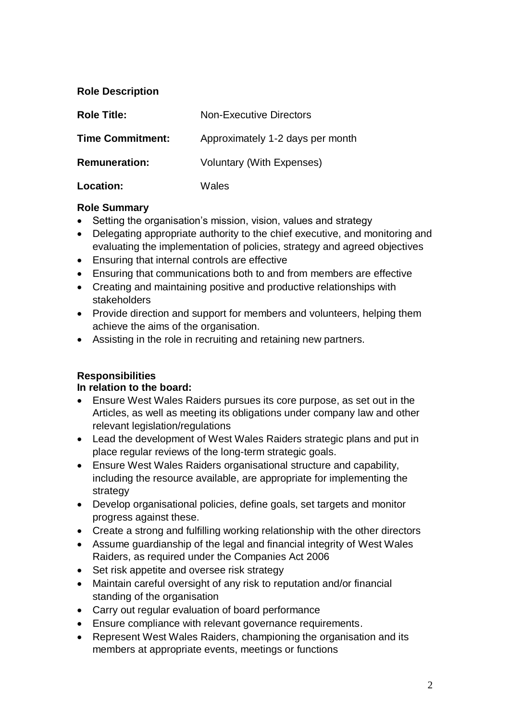### **Role Description**

| <b>Role Title:</b>      | <b>Non-Executive Directors</b>   |
|-------------------------|----------------------------------|
| <b>Time Commitment:</b> | Approximately 1-2 days per month |
| <b>Remuneration:</b>    | <b>Voluntary (With Expenses)</b> |
| <b>Location:</b>        | Wales                            |

### **Role Summary**

- Setting the organisation's mission, vision, values and strategy
- Delegating appropriate authority to the chief executive, and monitoring and evaluating the implementation of policies, strategy and agreed objectives
- Ensuring that internal controls are effective
- Ensuring that communications both to and from members are effective
- Creating and maintaining positive and productive relationships with stakeholders
- Provide direction and support for members and volunteers, helping them achieve the aims of the organisation.
- Assisting in the role in recruiting and retaining new partners.

# **Responsibilities**

## **In relation to the board:**

- Ensure West Wales Raiders pursues its core purpose, as set out in the Articles, as well as meeting its obligations under company law and other relevant legislation/regulations
- Lead the development of West Wales Raiders strategic plans and put in place regular reviews of the long-term strategic goals.
- Ensure West Wales Raiders organisational structure and capability, including the resource available, are appropriate for implementing the strategy
- Develop organisational policies, define goals, set targets and monitor progress against these.
- Create a strong and fulfilling working relationship with the other directors
- Assume guardianship of the legal and financial integrity of West Wales Raiders, as required under the Companies Act 2006
- Set risk appetite and oversee risk strategy
- Maintain careful oversight of any risk to reputation and/or financial standing of the organisation
- Carry out regular evaluation of board performance
- Ensure compliance with relevant governance requirements.
- Represent West Wales Raiders, championing the organisation and its members at appropriate events, meetings or functions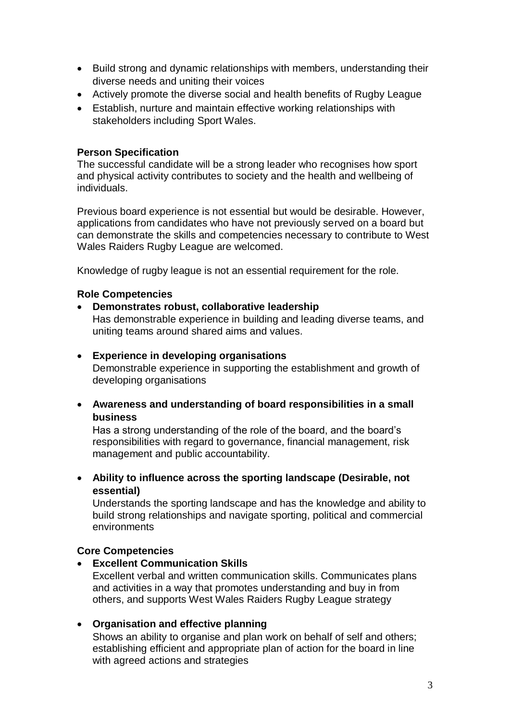- Build strong and dynamic relationships with members, understanding their diverse needs and uniting their voices
- Actively promote the diverse social and health benefits of Rugby League
- Establish, nurture and maintain effective working relationships with stakeholders including Sport Wales.

#### **Person Specification**

The successful candidate will be a strong leader who recognises how sport and physical activity contributes to society and the health and wellbeing of individuals.

Previous board experience is not essential but would be desirable. However, applications from candidates who have not previously served on a board but can demonstrate the skills and competencies necessary to contribute to West Wales Raiders Rugby League are welcomed.

Knowledge of rugby league is not an essential requirement for the role.

### **Role Competencies**

• **Demonstrates robust, collaborative leadership**

Has demonstrable experience in building and leading diverse teams, and uniting teams around shared aims and values.

### • **Experience in developing organisations**

Demonstrable experience in supporting the establishment and growth of developing organisations

• **Awareness and understanding of board responsibilities in a small business**

Has a strong understanding of the role of the board, and the board's responsibilities with regard to governance, financial management, risk management and public accountability.

• **Ability to influence across the sporting landscape (Desirable, not essential)**

Understands the sporting landscape and has the knowledge and ability to build strong relationships and navigate sporting, political and commercial environments

## **Core Competencies**

• **Excellent Communication Skills**

Excellent verbal and written communication skills. Communicates plans and activities in a way that promotes understanding and buy in from others, and supports West Wales Raiders Rugby League strategy

## • **Organisation and effective planning**

Shows an ability to organise and plan work on behalf of self and others; establishing efficient and appropriate plan of action for the board in line with agreed actions and strategies